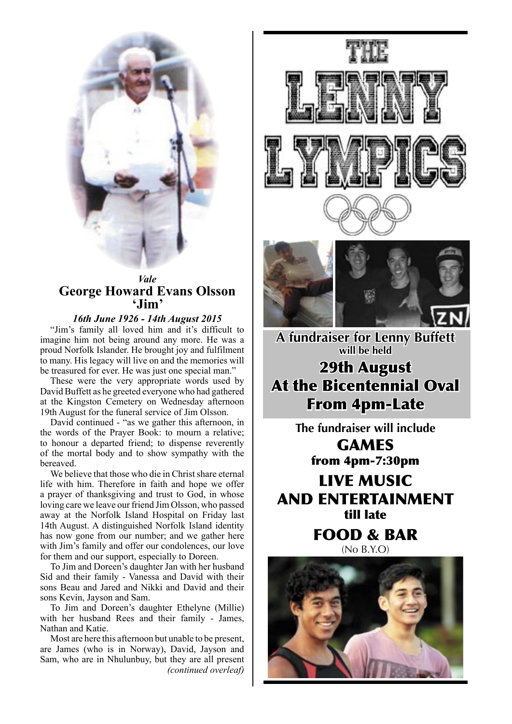

## **Vale George Howard Evans Olsson** 'Jim'

16th June 1926 - 14th August 2015

"Jim's family all loved him and it's difficult to imagine him not being around any more. He was a proud Norfolk Islander. He brought joy and fulfilment to many. His legacy will live on and the memories will be treasured for ever. He was just one special man."

These were the very appropriate words used by David Buffett as he greeted everyone who had gathered at the Kingston Cemetery on Wednesday afternoon 19th August for the funeral service of Jim Olsson.

David continued - "as we gather this afternoon, in the words of the Prayer Book: to mourn a relative; to honour a departed friend; to dispense reverently of the mortal body and to show sympathy with the bereaved.

We believe that those who die in Christ share eternal life with him. Therefore in faith and hope we offer a prayer of thanksgiving and trust to God, in whose loving care we leave our friend Jim Olsson, who passed away at the Norfolk Island Hospital on Friday last 14th August. A distinguished Norfolk Island identity has now gone from our number; and we gather here with Jim's family and offer our condolences, our love for them and our support, especially to Doreen.

To Jim and Doreen's daughter Jan with her husband Sid and their family - Vanessa and David with their sons Beau and Jared and Nikki and David and their sons Kevin, Jayson and Sam.

To Jim and Doreen's daughter Ethelyne (Millie) with her husband Rees and their family - James, Nathan and Katie.

Most are here this afternoon but unable to be present, are James (who is in Norway), David, Jayson and Sam, who are in Nhulunbuy, but they are all present (continued overleaf)





A fundraiser for Lenny Buffett will be held **29th August At the Bicentennial Oval From 4pm-Late** 

> The fundraiser will include **GAMES**

from 4pm-7:30pm

**LIVE MUSIC AND ENTERTAINMENT** fill lafe

> **FOOD & BAR**  $(NO B.Y.O)$

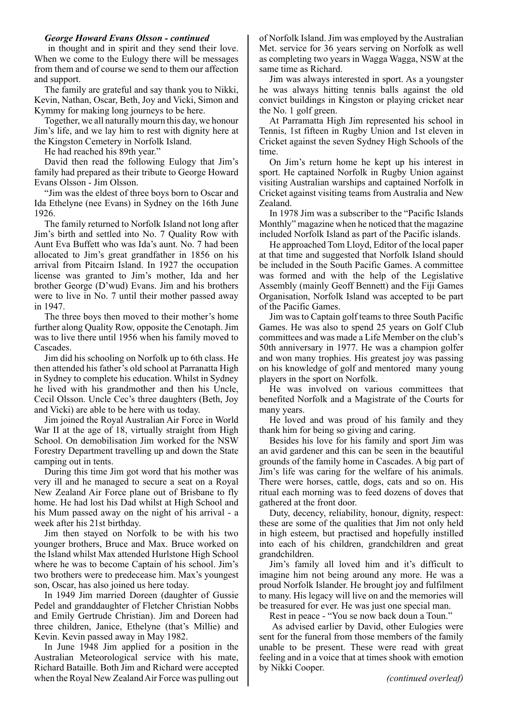#### *George Howard Evans Olsson - continued*

 in thought and in spirit and they send their love. When we come to the Eulogy there will be messages from them and of course we send to them our affection and support.

The family are grateful and say thank you to Nikki, Kevin, Nathan, Oscar, Beth, Joy and Vicki, Simon and Kymmy for making long journeys to be here.

Together, we all naturally mourn this day, we honour Jim's life, and we lay him to rest with dignity here at the Kingston Cemetery in Norfolk Island.

He had reached his 89th year."

David then read the following Eulogy that Jim's family had prepared as their tribute to George Howard Evans Olsson - Jim Olsson.

"Jim was the eldest of three boys born to Oscar and Ida Ethelyne (nee Evans) in Sydney on the 16th June 1926.

The family returned to Norfolk Island not long after Jim's birth and settled into No. 7 Quality Row with Aunt Eva Buffett who was Ida's aunt. No. 7 had been allocated to Jim's great grandfather in 1856 on his arrival from Pitcairn Island. In 1927 the occupation license was granted to Jim's mother, Ida and her brother George (D'wud) Evans. Jim and his brothers were to live in No. 7 until their mother passed away in 1947.

The three boys then moved to their mother's home further along Quality Row, opposite the Cenotaph. Jim was to live there until 1956 when his family moved to Cascades.

Jim did his schooling on Norfolk up to 6th class. He then attended his father's old school at Parranatta High in Sydney to complete his education. Whilst in Sydney he lived with his grandmother and then his Uncle, Cecil Olsson. Uncle Cec's three daughters (Beth, Joy and Vicki) are able to be here with us today.

Jim joined the Royal Australian Air Force in World War II at the age of 18, virtually straight from High School. On demobilisation Jim worked for the NSW Forestry Department travelling up and down the State camping out in tents.

During this time Jim got word that his mother was very ill and he managed to secure a seat on a Royal New Zealand Air Force plane out of Brisbane to fly home. He had lost his Dad whilst at High School and his Mum passed away on the night of his arrival - a week after his 21st birthday.

Jim then stayed on Norfolk to be with his two younger brothers, Bruce and Max. Bruce worked on the Island whilst Max attended Hurlstone High School where he was to become Captain of his school. Jim's two brothers were to predecease him. Max's youngest son, Oscar, has also joined us here today.

In 1949 Jim married Doreen (daughter of Gussie Pedel and granddaughter of Fletcher Christian Nobbs and Emily Gertrude Christian). Jim and Doreen had three children, Janice, Ethelyne (that's Millie) and Kevin. Kevin passed away in May 1982.

In June 1948 Jim applied for a position in the Australian Meteorological service with his mate, Richard Bataille. Both Jim and Richard were accepted when the Royal New Zealand Air Force was pulling out

of Norfolk Island. Jim was employed by the Australian Met. service for 36 years serving on Norfolk as well as completing two years in Wagga Wagga, NSW at the same time as Richard.

Jim was always interested in sport. As a youngster he was always hitting tennis balls against the old convict buildings in Kingston or playing cricket near the No. 1 golf green.

At Parramatta High Jim represented his school in Tennis, 1st fifteen in Rugby Union and 1st eleven in Cricket against the seven Sydney High Schools of the time.

On Jim's return home he kept up his interest in sport. He captained Norfolk in Rugby Union against visiting Australian warships and captained Norfolk in Cricket against visiting teams from Australia and New Zealand.

In 1978 Jim was a subscriber to the "Pacific Islands Monthly" magazine when he noticed that the magazine included Norfolk Island as part of the Pacific islands.

He approached Tom Lloyd, Editor of the local paper at that time and suggested that Norfolk Island should be included in the South Pacific Games. A committee was formed and with the help of the Legislative Assembly (mainly Geoff Bennett) and the Fiji Games Organisation, Norfolk Island was accepted to be part of the Pacific Games.

Jim was to Captain golf teams to three South Pacific Games. He was also to spend 25 years on Golf Club committees and was made a Life Member on the club's 50th anniversary in 1977. He was a champion golfer and won many trophies. His greatest joy was passing on his knowledge of golf and mentored many young players in the sport on Norfolk.

He was involved on various committees that benefited Norfolk and a Magistrate of the Courts for many years.

He loved and was proud of his family and they thank him for being so giving and caring.

Besides his love for his family and sport Jim was an avid gardener and this can be seen in the beautiful grounds of the family home in Cascades. A big part of Jim's life was caring for the welfare of his animals. There were horses, cattle, dogs, cats and so on. His ritual each morning was to feed dozens of doves that gathered at the front door.

Duty, decency, reliability, honour, dignity, respect: these are some of the qualities that Jim not only held in high esteem, but practised and hopefully instilled into each of his children, grandchildren and great grandchildren.

Jim's family all loved him and it's difficult to imagine him not being around any more. He was a proud Norfolk Islander. He brought joy and fulfilment to many. His legacy will live on and the memories will be treasured for ever. He was just one special man.

Rest in peace - "You se now back doun a Toun."

 As advised earlier by David, other Eulogies were sent for the funeral from those members of the family unable to be present. These were read with great feeling and in a voice that at times shook with emotion by Nikki Cooper.